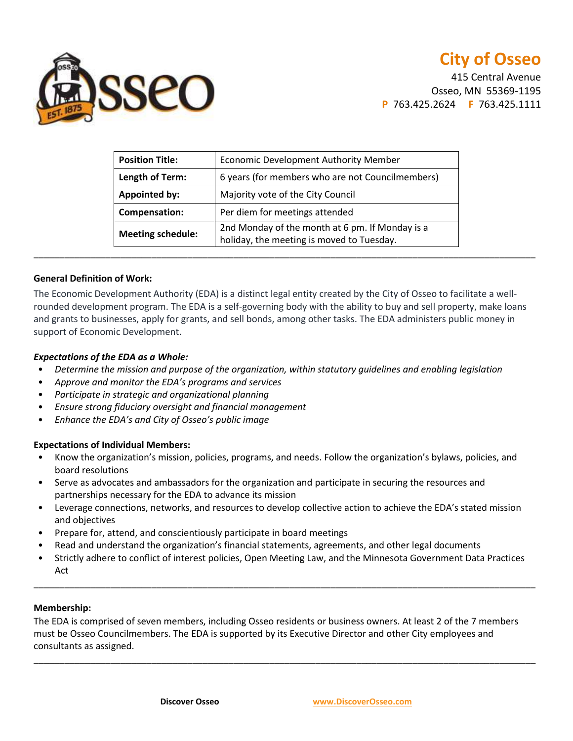

415 Central Avenue Osseo, MN 55369-1195 **P** 763.425.2624 **F** 763.425.1111

| <b>Position Title:</b>   | Economic Development Authority Member                                                        |
|--------------------------|----------------------------------------------------------------------------------------------|
| Length of Term:          | 6 years (for members who are not Councilmembers)                                             |
| <b>Appointed by:</b>     | Majority vote of the City Council                                                            |
| Compensation:            | Per diem for meetings attended                                                               |
| <b>Meeting schedule:</b> | 2nd Monday of the month at 6 pm. If Monday is a<br>holiday, the meeting is moved to Tuesday. |

## **General Definition of Work:**

The Economic Development Authority (EDA) is a distinct legal entity created by the City of Osseo to facilitate a wellrounded development program. The EDA is a self-governing body with the ability to buy and sell property, make loans and grants to businesses, apply for grants, and sell bonds, among other tasks. The EDA administers public money in support of Economic Development.

### *Expectations of the EDA as a Whole:*

- *Determine the mission and purpose of the organization, within statutory guidelines and enabling legislation*
- *Approve and monitor the EDA's programs and services*
- *Participate in strategic and organizational planning*
- *Ensure strong fiduciary oversight and financial management*
- *Enhance the EDA's and City of Osseo's public image*

## **Expectations of Individual Members:**

- Know the organization's mission, policies, programs, and needs. Follow the organization's bylaws, policies, and board resolutions
- Serve as advocates and ambassadors for the organization and participate in securing the resources and partnerships necessary for the EDA to advance its mission
- Leverage connections, networks, and resources to develop collective action to achieve the EDA's stated mission and objectives
- Prepare for, attend, and conscientiously participate in board meetings
- Read and understand the organization's financial statements, agreements, and other legal documents
- Strictly adhere to conflict of interest policies, Open Meeting Law, and the Minnesota Government Data Practices Act

\_\_\_\_\_\_\_\_\_\_\_\_\_\_\_\_\_\_\_\_\_\_\_\_\_\_\_\_\_\_\_\_\_\_\_\_\_\_\_\_\_\_\_\_\_\_\_\_\_\_\_\_\_\_\_\_\_\_\_\_\_\_\_\_\_\_\_\_\_\_\_\_\_\_\_\_\_\_\_\_\_\_\_\_\_\_\_\_\_\_\_\_\_\_\_\_\_\_

#### **Membership:**

The EDA is comprised of seven members, including Osseo residents or business owners. At least 2 of the 7 members must be Osseo Councilmembers. The EDA is supported by its Executive Director and other City employees and consultants as assigned.

\_\_\_\_\_\_\_\_\_\_\_\_\_\_\_\_\_\_\_\_\_\_\_\_\_\_\_\_\_\_\_\_\_\_\_\_\_\_\_\_\_\_\_\_\_\_\_\_\_\_\_\_\_\_\_\_\_\_\_\_\_\_\_\_\_\_\_\_\_\_\_\_\_\_\_\_\_\_\_\_\_\_\_\_\_\_\_\_\_\_\_\_\_\_\_\_\_\_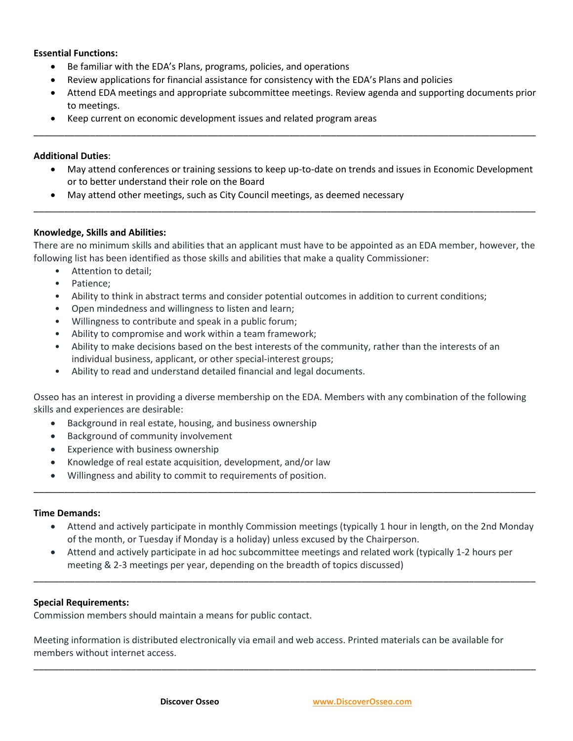## **Essential Functions:**

- Be familiar with the EDA's Plans, programs, policies, and operations
- Review applications for financial assistance for consistency with the EDA's Plans and policies
- Attend EDA meetings and appropriate subcommittee meetings. Review agenda and supporting documents prior to meetings.

\_\_\_\_\_\_\_\_\_\_\_\_\_\_\_\_\_\_\_\_\_\_\_\_\_\_\_\_\_\_\_\_\_\_\_\_\_\_\_\_\_\_\_\_\_\_\_\_\_\_\_\_\_\_\_\_\_\_\_\_\_\_\_\_\_\_\_\_\_\_\_\_\_\_\_\_\_\_\_\_\_\_\_\_\_\_\_\_\_\_\_\_\_\_\_\_\_\_

Keep current on economic development issues and related program areas

#### **Additional Duties**:

- May attend conferences or training sessions to keep up-to-date on trends and issues in Economic Development or to better understand their role on the Board
- May attend other meetings, such as City Council meetings, as deemed necessary

### **Knowledge, Skills and Abilities:**

There are no minimum skills and abilities that an applicant must have to be appointed as an EDA member, however, the following list has been identified as those skills and abilities that make a quality Commissioner:

\_\_\_\_\_\_\_\_\_\_\_\_\_\_\_\_\_\_\_\_\_\_\_\_\_\_\_\_\_\_\_\_\_\_\_\_\_\_\_\_\_\_\_\_\_\_\_\_\_\_\_\_\_\_\_\_\_\_\_\_\_\_\_\_\_\_\_\_\_\_\_\_\_\_\_\_\_\_\_\_\_\_\_\_\_\_\_\_\_\_\_\_\_\_\_\_\_\_

- Attention to detail;
- Patience;
- Ability to think in abstract terms and consider potential outcomes in addition to current conditions;
- Open mindedness and willingness to listen and learn;
- Willingness to contribute and speak in a public forum;
- Ability to compromise and work within a team framework;
- Ability to make decisions based on the best interests of the community, rather than the interests of an individual business, applicant, or other special-interest groups;
- Ability to read and understand detailed financial and legal documents.

Osseo has an interest in providing a diverse membership on the EDA. Members with any combination of the following skills and experiences are desirable:

- Background in real estate, housing, and business ownership
- Background of community involvement
- Experience with business ownership
- Knowledge of real estate acquisition, development, and/or law
- Willingness and ability to commit to requirements of position.

#### **Time Demands:**

- Attend and actively participate in monthly Commission meetings (typically 1 hour in length, on the 2nd Monday of the month, or Tuesday if Monday is a holiday) unless excused by the Chairperson.
- Attend and actively participate in ad hoc subcommittee meetings and related work (typically 1-2 hours per meeting & 2-3 meetings per year, depending on the breadth of topics discussed)

\_\_\_\_\_\_\_\_\_\_\_\_\_\_\_\_\_\_\_\_\_\_\_\_\_\_\_\_\_\_\_\_\_\_\_\_\_\_\_\_\_\_\_\_\_\_\_\_\_\_\_\_\_\_\_\_\_\_\_\_\_\_\_\_\_\_\_\_\_\_\_\_\_\_\_\_\_\_\_\_\_\_\_\_\_\_\_\_\_\_\_\_\_\_\_\_\_\_

\_\_\_\_\_\_\_\_\_\_\_\_\_\_\_\_\_\_\_\_\_\_\_\_\_\_\_\_\_\_\_\_\_\_\_\_\_\_\_\_\_\_\_\_\_\_\_\_\_\_\_\_\_\_\_\_\_\_\_\_\_\_\_\_\_\_\_\_\_\_\_\_\_\_\_\_\_\_\_\_\_\_\_\_\_\_\_\_\_\_\_\_\_\_\_\_\_\_

\_\_\_\_\_\_\_\_\_\_\_\_\_\_\_\_\_\_\_\_\_\_\_\_\_\_\_\_\_\_\_\_\_\_\_\_\_\_\_\_\_\_\_\_\_\_\_\_\_\_\_\_\_\_\_\_\_\_\_\_\_\_\_\_\_\_\_\_\_\_\_\_\_\_\_\_\_\_\_\_\_\_\_\_\_\_\_\_\_\_\_\_\_\_\_\_\_\_

# **Special Requirements:**

Commission members should maintain a means for public contact.

Meeting information is distributed electronically via email and web access. Printed materials can be available for members without internet access.